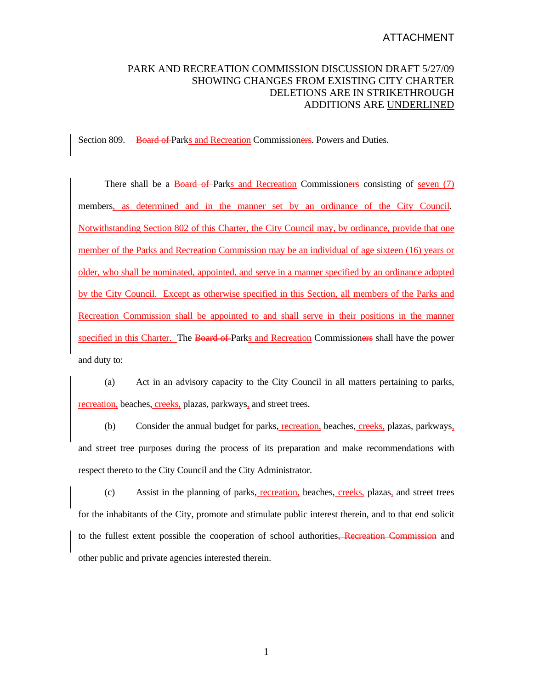## ATTACHMENT

## PARK AND RECREATION COMMISSION DISCUSSION DRAFT 5/27/09 SHOWING CHANGES FROM EXISTING CITY CHARTER DELETIONS ARE IN STRIKETHROUGH ADDITIONS ARE UNDERLINED

Section 809. Board of Parks and Recreation Commissioners. Powers and Duties.

There shall be a Board of Parks and Recreation Commissioners consisting of seven (7) members, as determined and in the manner set by an ordinance of the City Council. Notwithstanding Section 802 of this Charter, the City Council may, by ordinance, provide that one member of the Parks and Recreation Commission may be an individual of age sixteen (16) years or older, who shall be nominated, appointed, and serve in a manner specified by an ordinance adopted by the City Council. Except as otherwise specified in this Section, all members of the Parks and Recreation Commission shall be appointed to and shall serve in their positions in the manner specified in this Charter. The Board of Parks and Recreation Commissioners shall have the power and duty to:

 (a) Act in an advisory capacity to the City Council in all matters pertaining to parks, recreation, beaches, creeks, plazas, parkways, and street trees.

(b) Consider the annual budget for parks, recreation, beaches, creeks, plazas, parkways, and street tree purposes during the process of its preparation and make recommendations with respect thereto to the City Council and the City Administrator.

 (c) Assist in the planning of parks, recreation, beaches, creeks, plazas, and street trees for the inhabitants of the City, promote and stimulate public interest therein, and to that end solicit to the fullest extent possible the cooperation of school authorities, Recreation Commission and other public and private agencies interested therein.